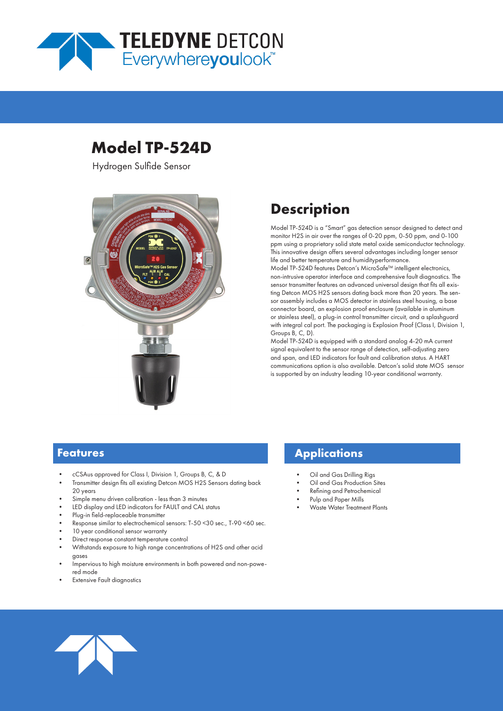

# **Model TP-524D**

Hydrogen Sulfide Sensor



# **Description**

Model TP-524D is a "Smart" gas detection sensor designed to detect and monitor H2S in air over the ranges of 0-20 ppm, 0-50 ppm, and 0-100 ppm using a proprietary solid state metal oxide semiconductor technology. This innovative design offers several advantages including longer sensor life and better temperature and humidityperformance.

Model TP-524D features Detcon's MicroSafe™ intelligent electronics, non-intrusive operator interface and comprehensive fault diagnostics. The sensor transmitter features an advanced universal design that fits all existing Detcon MOS H2S sensors dating back more than 20 years. The sensor assembly includes a MOS detector in stainless steel housing, a base connector board, an explosion proof enclosure (available in aluminum or stainless steel), a plug-in control transmitter circuit, and a splashguard with integral cal port. The packaging is Explosion Proof (Class I, Division 1, Groups B, C, D).

Model TP-524D is equipped with a standard analog 4-20 mA current signal equivalent to the sensor range of detection, self-adjusting zero and span, and LED indicators for fault and calibration status. A HART communications option is also available. Detcon's solid state MOS sensor is supported by an industry leading 10-year conditional warranty.

## **Features**

- cCSAus approved for Class I, Division 1, Groups B, C, & D
- Transmitter design fits all existing Detcon MOS H2S Sensors dating back 20 years
- Simple menu driven calibration less than 3 minutes
- LED display and LED indicators for FAULT and CAL status
- Plug-in field-replaceable transmitter
- Response similar to electrochemical sensors: T-50 <30 sec., T-90 <60 sec.
- 10 year conditional sensor warranty
- Direct response constant temperature control
- Withstands exposure to high range concentrations of H2S and other acid gases
- Impervious to high moisture environments in both powered and non-powered mode
- **Extensive Fault diagnostics**

## **Applications**

- Oil and Gas Drilling Rigs
- Oil and Gas Production Sites
- Refining and Petrochemical
- Pulp and Paper Mills
- Waste Water Treatment Plants